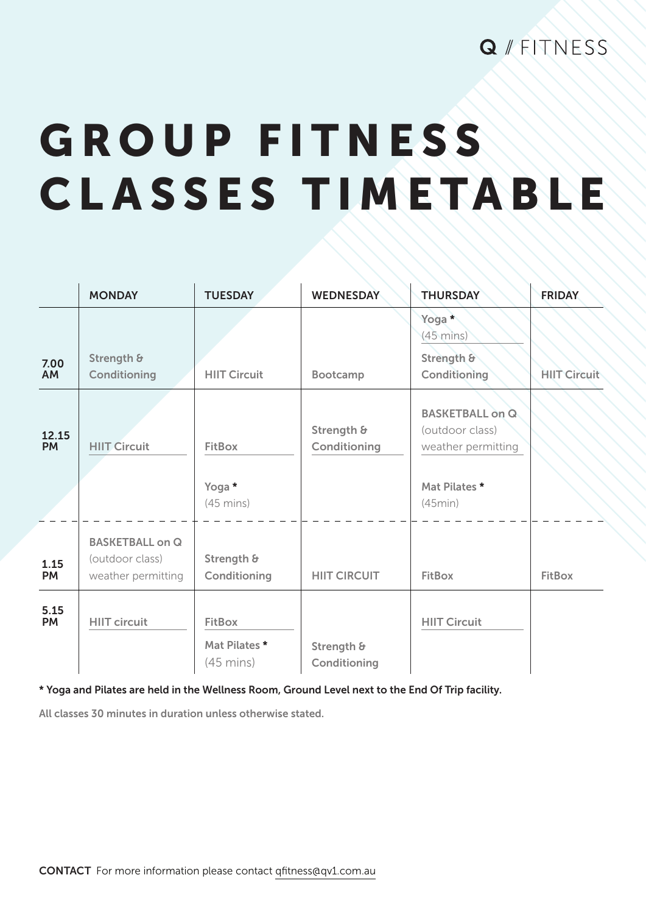## GROUP FITNESS CLASSES TIMETABLE

|                    | <b>MONDAY</b>                                                   | <b>TUESDAY</b>                                        | <b>WEDNESDAY</b>           | <b>THURSDAY</b>                                                                             | <b>FRIDAY</b>       |
|--------------------|-----------------------------------------------------------------|-------------------------------------------------------|----------------------------|---------------------------------------------------------------------------------------------|---------------------|
| 7.00<br>AM         | Strength &<br>Conditioning                                      | <b>HIIT Circuit</b>                                   | Bootcamp                   | Yoga*<br>$(45 \text{ mins})$<br>Strength &<br>Conditioning                                  | <b>HIIT Circuit</b> |
| 12.15<br><b>PM</b> | <b>HIIT Circuit</b>                                             | <b>FitBox</b><br>Yoga *<br>$(45 \text{ mins})$        | Strength &<br>Conditioning | <b>BASKETBALL on Q</b><br>(outdoor class)<br>weather permitting<br>Mat Pilates *<br>(45min) |                     |
| 1.15<br><b>PM</b>  | <b>BASKETBALL on Q</b><br>(outdoor class)<br>weather permitting | Strength &<br>Conditioning                            | <b>HIIT CIRCUIT</b>        | <b>FitBox</b>                                                                               | <b>FitBox</b>       |
| 5.15<br><b>PM</b>  | <b>HIIT circuit</b>                                             | <b>FitBox</b><br>Mat Pilates *<br>$(45 \text{ mins})$ | Strength &<br>Conditioning | <b>HIIT Circuit</b>                                                                         |                     |

\* Yoga and Pilates are held in the Wellness Room, Ground Level next to the End Of Trip facility.

All classes 30 minutes in duration unless otherwise stated.